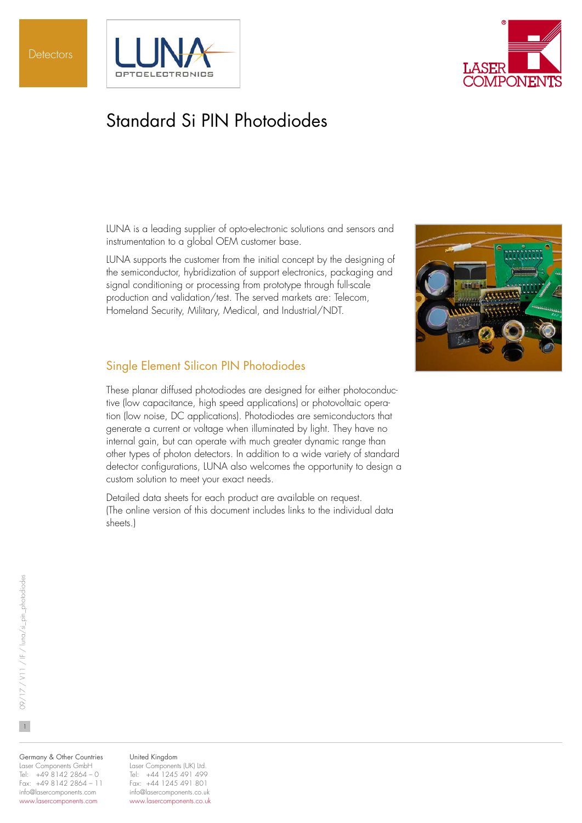



# Standard Si PIN Photodiodes

LUNA is a leading supplier of opto-electronic solutions and sensors and instrumentation to a global OEM customer base.

LUNA supports the customer from the initial concept by the designing of the semiconductor, hybridization of support electronics, packaging and signal conditioning or processing from prototype through full-scale production and validation/test. The served markets are: Telecom, Homeland Security, Military, Medical, and Industrial/NDT.



These planar diffused photodiodes are designed for either photoconductive (low capacitance, high speed applications) or photovoltaic operation (low noise, DC applications). Photodiodes are semiconductors that generate a current or voltage when illuminated by light. They have no internal gain, but can operate with much greater dynamic range than other types of photon detectors. In addition to a wide variety of standard detector configurations, LUNA also welcomes the opportunity to design a custom solution to meet your exact needs.

Detailed data sheets for each product are available on request. (The online version of this document includes links to the individual data sheets.)



Germany & Other Countries Laser Components GmbH Tel: +49 8142 2864 – 0 Fax: +49 8142 2864 – 11 info@lasercomponents.com www.lasercomponents.com

#### United Kingdom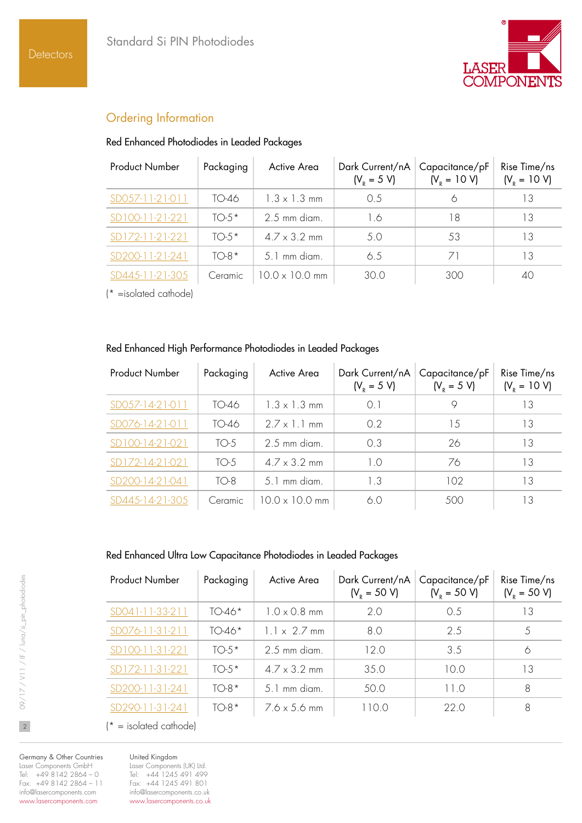

# Ordering Information

#### Red Enhanced Photodiodes in Leaded Packages

| <b>Product Number</b>  | Packaging | Active Area         | Dark Current/nA<br>$(V_{R} = 5 V)$ | Capacitance/pF<br>$(V_p = 10 V)$ | Rise Time/ns<br>$(V_p = 10 V)$ |
|------------------------|-----------|---------------------|------------------------------------|----------------------------------|--------------------------------|
| SD057-11-21-011        | TO-46     | $1.3 \times 1.3$ mm | () 5                               |                                  | l 3                            |
| (100-11-21-221         | $TO-5*$   | $2.5$ mm diam.      | 1.6                                | 18                               | 13                             |
| 172-11-21-221          | $TO-5*$   | $47 \times 32$ mm   | 5.0                                | .53                              | т3                             |
| SD200-11-21-241        | $TO-8*$   | $51$ mm diam        | 65                                 | 71                               | 13                             |
| 1-21-305<br>$S12445-1$ | Ceramic   | $100 \times 100$ mm | 30 O                               | 300                              | 40                             |

(\* =isolated cathode)

#### Red Enhanced High Performance Photodiodes in Leaded Packages

| <b>Product Number</b>     | Packaging | Active Area           | Dark Current/nA<br>$(V_{R} = 5 V)$ | Capacitance/pF<br>$(V_p = 5 V)$ | Rise Time/ns<br>$(V_p = 10 V)$ |
|---------------------------|-----------|-----------------------|------------------------------------|---------------------------------|--------------------------------|
| SD057-14-21-011           | TO-46     | $1.3 \times 1.3$ mm   | ()                                 | Q                               | l 3                            |
| SD076-14-21-011           | TO-46     | $2.7 \times 1.1$ mm   | 0.2                                | 1.5                             | 13                             |
| SD100-14-21-021           | TO-5      | $2.5$ mm diam.        | $\Omega$ 3                         | 26                              | 13                             |
| SD172-14-21-021           | TO-5      | $4.7 \times 3.2$ mm   | $1^{\circ}$                        | 76                              | 13                             |
| SD200-14-21-041           | $TO-8$    | 5.1 mm diam.          | 1.3                                | 102                             | 13                             |
| $4-21-30.5$<br>$S12445-1$ | Ceramic   | $10.0 \times 10.0$ mm | 60                                 | 500                             | IЗ                             |

#### Red Enhanced Ultra Low Capacitance Photodiodes in Leaded Packages

| <b>Product Number</b> | Packaging | Active Area         | Dark Current/nA<br>$(V_p = 50 V)$ | Capacitance/pF<br>$(V_p = 50 V)$ | Rise Time/ns<br>$(V_p = 50 V)$ |
|-----------------------|-----------|---------------------|-----------------------------------|----------------------------------|--------------------------------|
| SD041-11-33-211       | $TO-46*$  | $1.0 \times 0.8$ mm | 2.0                               | 0.5                              | 13                             |
| SD076-11-31-211       | $TO-46*$  | $1 \times 27$ mm    | 80                                | 2.5                              |                                |
| SD100-11-31-221       | $TO-5*$   | $2.5$ mm diam.      | 12 O                              | 3.5                              | 6                              |
| SD172-11-31-221       | $TO-5*$   | $47 \times 32$ mm   | 350                               | 100                              | 13                             |
| SD200-11-31-241       | $TO-8*$   | .5 1 mm diam        | 50.0                              | 11 O                             | 8                              |
| $-3 - 24$             | $TO-8*$   | $76 \times 56$ mm   | 10.0                              | 22 O                             | 8                              |

 $\mathfrak{f}^*$  = isolated cathode)

Germany & Other Countries Laser Components GmbH Tel: +49 8142 2864 – 0 Fax: +49 8142 2864 – 11 info@lasercomponents.com www.lasercomponents.com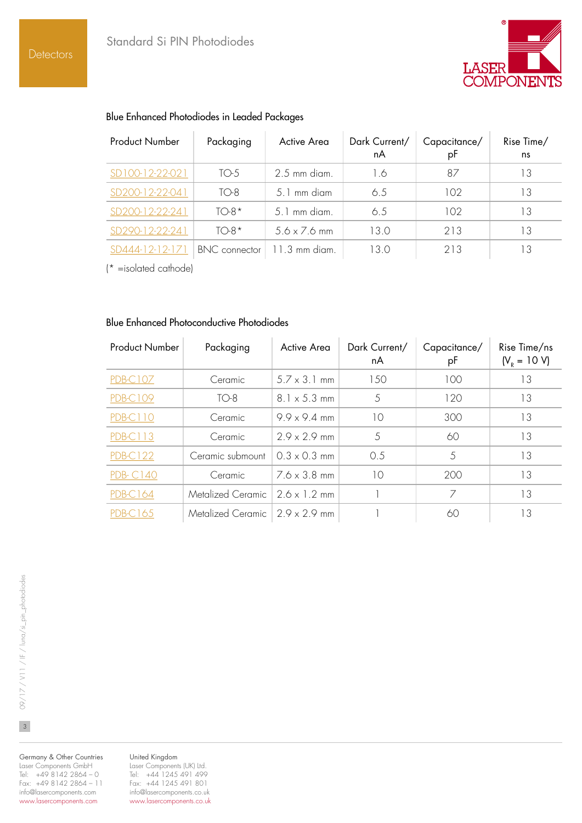**Detectors** 



| <b>Product Number</b> | Packaging     | Active Area         | Dark Current/<br>nA | Capacitance/<br>рF | Rise Time/<br>ns |
|-----------------------|---------------|---------------------|---------------------|--------------------|------------------|
| SD100-12-22-021       | TO-5          | 2.5 mm diam.        | 1.6                 | 87                 | 13               |
| SD200-12-22-041       | $TO-8$        | 5.1 mm diam         | 6.5                 | 102                | 13               |
| SD200-12-22-241       | $TO-8*$       | 5.1 mm diam.        | 6.5                 | 102                | 13               |
| SD290-12-22-241       | $TO-8*$       | $5.6 \times 7.6$ mm | 13.0                | 213                | 13               |
| SD444-12-12-171       | BNC connector | 11.3 mm diam        | 13 O                | 213                | 13               |

#### Blue Enhanced Photodiodes in Leaded Packages

(\* =isolated cathode)

### Blue Enhanced Photoconductive Photodiodes

| <b>Product Number</b> | Packaging                        | Active Area         | Dark Current/<br>nA | Capacitance/<br>рF | Rise Time/ns<br>$(V_R = 10 V)$ |
|-----------------------|----------------------------------|---------------------|---------------------|--------------------|--------------------------------|
| <b>PDB-C107</b>       | Ceramic                          | $5.7 \times 3.1$ mm | 150                 | 100                | 13                             |
| <b>PDB-C109</b>       | $TO-8$                           | $8.1 \times 5.3$ mm | 5                   | 120                | 13                             |
| <b>PDB-C110</b>       | Ceramic                          | $9.9 \times 9.4$ mm | 10                  | 300                | 13                             |
| <u>PDB-C113</u>       | Ceramic                          | $2.9 \times 2.9$ mm | 5                   | 60                 | 13                             |
| <b>PDB-C122</b>       | Ceramic submount                 | $0.3 \times 0.3$ mm | 0.5                 | 5                  | 13                             |
| <b>PDB-C140</b>       | Ceramic                          | $76 \times 38$ mm   | 10                  | 200                | 13                             |
| PDB-C164              | Metalized Ceramic   2.6 x 1.2 mm |                     |                     | 7                  | 13                             |
| PDB-C165              | Metalized Ceramic 2.9 x 2.9 mm   |                     |                     | 60                 | 3                              |

Germany & Other Countries Laser Components GmbH Tel: +49 8142 2864 – 0 Fax: +49 8142 2864 – 11 info@lasercomponents.com www.lasercomponents.com

United Kingdom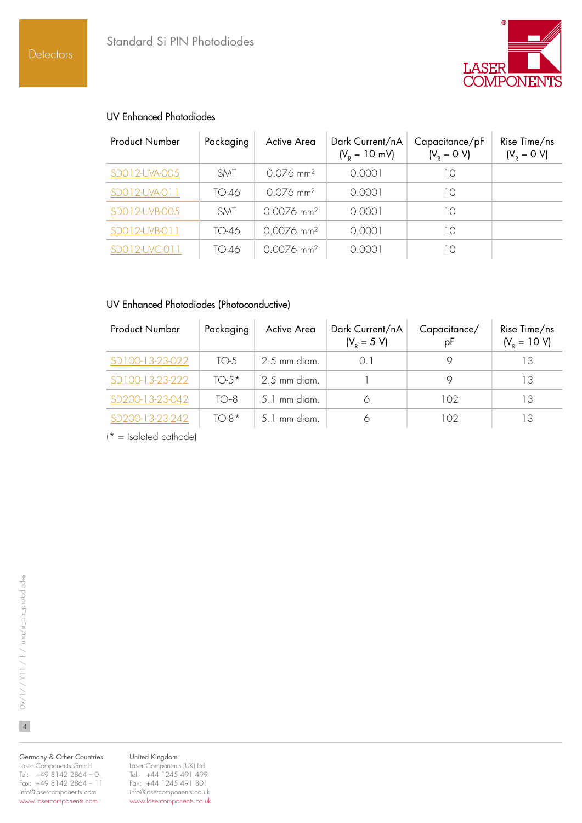

### UV Enhanced Photodiodes

| <b>Product Number</b> | Packaging  | Active Area              | Dark Current/nA<br>$(V_p = 10 \text{ mV})$ | Capacitance/pF<br>$(V_{R} = 0 V)$ | Rise Time/ns<br>$(V_{R} = 0 V)$ |
|-----------------------|------------|--------------------------|--------------------------------------------|-----------------------------------|---------------------------------|
| SD012-UVA-005         | <b>SMT</b> | $0.076$ mm <sup>2</sup>  | 0.0001                                     | 10                                |                                 |
| SD012-UVA-011         | TO-46      | $0.076$ mm <sup>2</sup>  | 0.0001                                     | 10                                |                                 |
| SDO12-UVB-005         | <b>SMT</b> | $0.0076$ mm <sup>2</sup> | 0.0001                                     | 10                                |                                 |
| SD012-UVB-011         | TO-46      | $0.0076$ mm <sup>2</sup> | 0.0001                                     | 10                                |                                 |
| SD012-UVC-011         | TO-46      | $0.0076$ mm <sup>2</sup> | 0.0001                                     | 10                                |                                 |

### UV Enhanced Photodiodes (Photoconductive)

| <b>Product Number</b> | Packaging | Active Area    | Dark Current/nA<br>$(V_p = 5 V)$ | Capacitance/<br>pF | Rise Time/ns<br>$(V_p = 10 V)$ |
|-----------------------|-----------|----------------|----------------------------------|--------------------|--------------------------------|
| SD100-13-23-022       | TO-5      | 2.5 mm diam.   | $\Omega$ 1                       |                    | 13                             |
| SD100-13-23-222       | $TO.5*$   | $2.5$ mm diam. |                                  |                    | 13                             |
| SD200-13-23-042       | $TO-8$    | 5.1 mm diam.   |                                  | 102                | 13                             |
| SD200-13-23-242       | $TO-8*$   | 5.1 mm diam.   |                                  | 102                |                                |

 $\mathsf{I}^*$  = isolated cathode)

Germany & Other Countries Laser Components GmbH Tel: +49 8142 2864 – 0 Fax: +49 8142 2864 – 11 info@lasercomponents.com www.lasercomponents.com

United Kingdom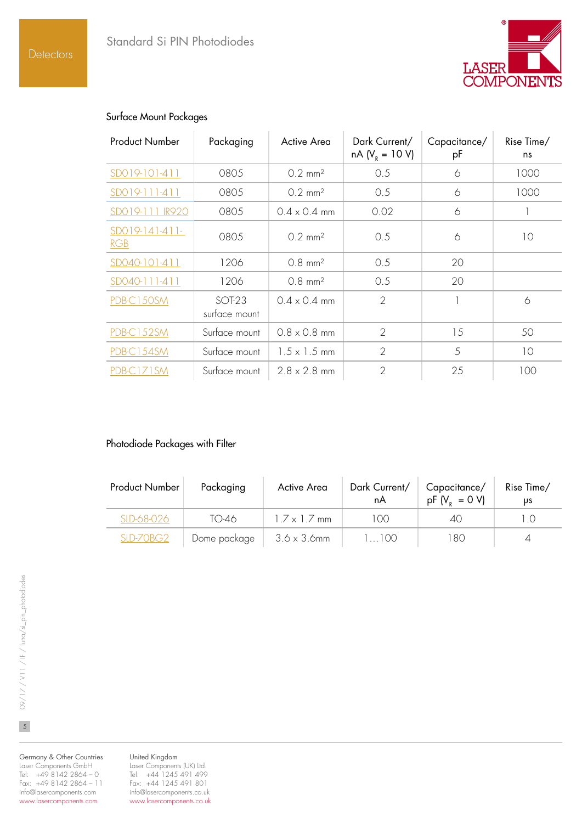

#### Surface Mount Packages

| <b>Product Number</b>   | Packaging               | Active Area           | Dark Current/<br>$nA (V_R = 10 V)$ | Capacitance/<br>рF | Rise Time/<br>ns |
|-------------------------|-------------------------|-----------------------|------------------------------------|--------------------|------------------|
| SD019-101-411           | 0805                    | $0.2 \, \text{mm}^2$  | 0.5                                | 6                  | 1000             |
| SD019-111-411           | 0805                    | $0.2 \, \text{mm}^2$  | 0.5                                | 6                  | 1000             |
| SD019-111 IR920         | 0805                    | $0.4 \times 0.4$ mm   | 0.02                               | 6                  |                  |
| $SD019-141-411-$<br>RGB | 0805                    | $0.2$ mm <sup>2</sup> | 0.5                                | 6                  | 10               |
| SD040-101-411           | 1206                    | $0.8 \, \text{mm}^2$  | 0.5                                | 20                 |                  |
| SD040-111-411           | 1206                    | $0.8 \, \text{mm}^2$  | 0.5                                | 20                 |                  |
| PDB-C150SM              | SOT-23<br>surface mount | $0.4 \times 0.4$ mm   | $\overline{2}$                     |                    | 6                |
| PDB-C152SM              | Surface mount           | $0.8 \times 0.8$ mm   | $\overline{2}$                     | 15                 | 50               |
| PDB-C154SM              | Surface mount           | $1.5 \times 1.5$ mm   | $\overline{2}$                     | 5                  | 10               |
| PDB-C171SM              | Surface mount           | $2.8 \times 2.8$ mm   | $\overline{2}$                     | 25                 | 100              |

## Photodiode Packages with Filter

| <b>Product Number</b> | Packaging    | Active Area         | Dark Current/<br>nA | Capacitance/<br>$pF(V_{p} = 0 V)$ | Rise Time/<br>υs |
|-----------------------|--------------|---------------------|---------------------|-----------------------------------|------------------|
| SLD-68-026            | TO-46        | $17 \times 17$ mm   | LOO.                | $\Delta()$                        |                  |
| SLD-70BG2             | Dome package | $3.6 \times 3.6$ mm | 1100                | 180                               |                  |

Germany & Other Countries Laser Components GmbH Tel: +49 8142 2864 – 0 Fax: +49 8142 2864 – 11 info@lasercomponents.com www.lasercomponents.com

United Kingdom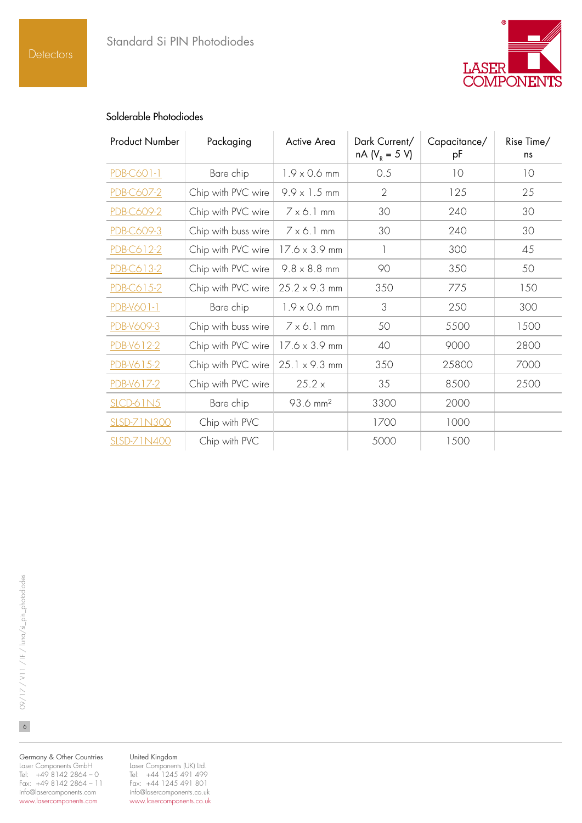

## Solderable Photodiodes

| <b>Product Number</b> | Packaging           | Active Area          | Dark Current/<br>$nA (V_R = 5 V)$ | Capacitance/<br>рF | Rise Time/<br>ns |
|-----------------------|---------------------|----------------------|-----------------------------------|--------------------|------------------|
| PDB-C601-1            | Bare chip           | $1.9 \times 0.6$ mm  | 0.5                               | 10                 | 10               |
| PDB-C607-2            | Chip with PVC wire  | $9.9 \times 1.5$ mm  | $\overline{2}$                    | 125                | 25               |
| PDB-C609-2            | Chip with PVC wire  | $7 \times 6.1$ mm    | 30                                | 240                | 30               |
| PDB-C609-3            | Chip with buss wire | $7 \times 6.1$ mm    | 30                                | 240                | 30               |
| PDB-C612-2            | Chip with PVC wire  | $17.6 \times 3.9$ mm | 1                                 | 300                | 45               |
| PDB-C613-2            | Chip with PVC wire  | $9.8 \times 8.8$ mm  | 90                                | 350                | 50               |
| PDB-C615-2            | Chip with PVC wire  | $25.2 \times 9.3$ mm | 350                               | 775                | 150              |
| PDB-V601-1            | Bare chip           | $1.9 \times 0.6$ mm  | 3                                 | 250                | 300              |
| PDB-V609-3            | Chip with buss wire | $7 \times 6.1$ mm    | 50                                | 5500               | 1500             |
| PDB-V612-2            | Chip with PVC wire  | $17.6 \times 3.9$ mm | 40                                | 9000               | 2800             |
| PDB-V615-2            | Chip with PVC wire  | $25.1 \times 9.3$ mm | 350                               | 25800              | 7000             |
| PDB-V617-2            | Chip with PVC wire  | 25.2 x               | 35                                | 8500               | 2500             |
| $SLCD-61N5$           | Bare chip           | 93.6 mm <sup>2</sup> | 3300                              | 2000               |                  |
| <b>SLSD-71N300</b>    | Chip with PVC       |                      | 1700                              | 1000               |                  |
| <b>SLSD-71N400</b>    | Chip with PVC       |                      | 5000                              | 1500               |                  |

Germany & Other Countries Laser Components GmbH Tel: +49 8142 2864 – 0 Fax: +49 8142 2864 – 11 info@lasercomponents.com www.lasercomponents.com

#### United Kingdom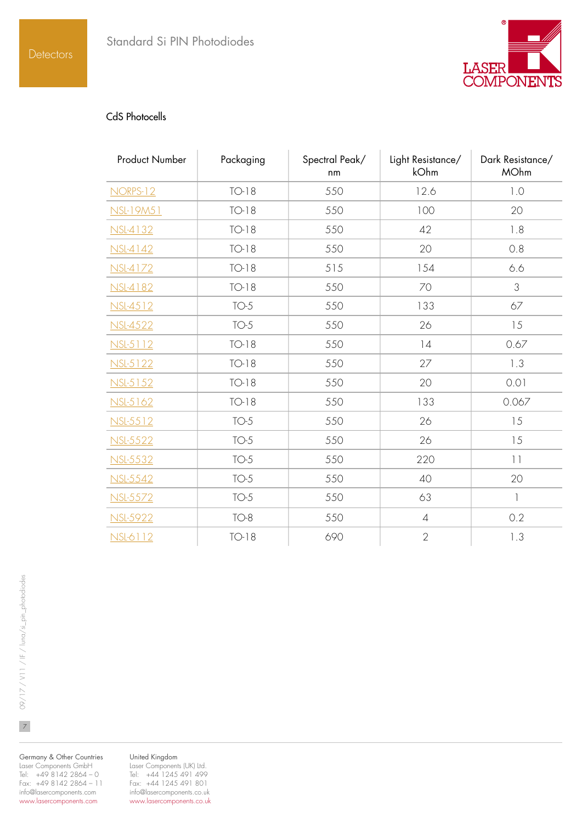

### CdS Photocells

| <b>Product Number</b> | Packaging | Spectral Peak/<br>nm | Light Resistance/<br>kOhm | Dark Resistance/<br><b>MOhm</b> |
|-----------------------|-----------|----------------------|---------------------------|---------------------------------|
| <b>NORPS-12</b>       | $TO-18$   | 550                  | 12.6                      | 1.0                             |
| NSL-19M51             | $TO-18$   | 550                  | 100                       | 20                              |
| <b>NSL-4132</b>       | $TO-18$   | 550                  | 42                        | 1.8                             |
| NSL-4142              | $TO-18$   | 550                  | 20                        | 0.8                             |
| NSL-4172              | $TO-18$   | 515                  | 154                       | 6.6                             |
| <b>NSL-4182</b>       | $TO-18$   | 550                  | 70                        | 3                               |
| NSL-4512              | $TO-5$    | 550                  | 133                       | 67                              |
| <b>NSL-4522</b>       | $TO-5$    | 550                  | 26                        | 15                              |
| NSL-5112              | $TO-18$   | 550                  | 14                        | 0.67                            |
| NSL-5122              | $TO-18$   | 550                  | 27                        | 1.3                             |
| NSL-5152              | $TO-18$   | 550                  | 20                        | 0.01                            |
| NSL-5162              | $TO-18$   | 550                  | 133                       | 0.067                           |
| NSL-5512              | $TO-5$    | 550                  | 26                        | 15                              |
| NSL-5522              | $TO-5$    | 550                  | 26                        | 15                              |
| <b>NSL-5532</b>       | $TO-5$    | 550                  | 220                       | $  \  $                         |
| NSL-5542              | $TO-5$    | 550                  | 40                        | 20                              |
| <b>NSL-5572</b>       | $TO-5$    | 550                  | 63                        | $\overline{1}$                  |
| <b>NSL-5922</b>       | $TO-8$    | 550                  | $\sqrt{4}$                | 0.2                             |
| NSL-6112              | $TO-18$   | 690                  | $\overline{2}$            | 1.3                             |

Germany & Other Countries Laser Components GmbH Tel: +49 8142 2864 – 0 Fax: +49 8142 2864 – 11 info@lasercomponents.com www.lasercomponents.com

#### United Kingdom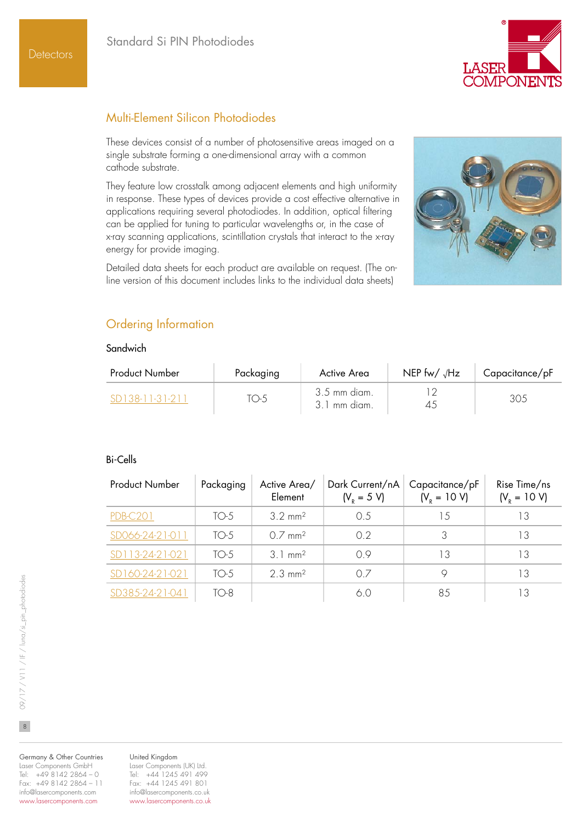

## Multi-Element Silicon Photodiodes

These devices consist of a number of photosensitive areas imaged on a single substrate forming a one-dimensional array with a common cathode substrate.

They feature low crosstalk among adjacent elements and high uniformity in response. These types of devices provide a cost effective alternative in applications requiring several photodiodes. In addition, optical filtering can be applied for tuning to particular wavelengths or, in the case of x-ray scanning applications, scintillation crystals that interact to the x-ray energy for provide imaging.

Detailed data sheets for each product are available on request. (The online version of this document includes links to the individual data sheets)



# Ordering Information

#### **Sandwich**

| <b>Product Number</b> | Packaging | Active Area                  | NEP fw/ $\sqrt{Hz}$ | Capacitance/pF |
|-----------------------|-----------|------------------------------|---------------------|----------------|
| - SD138-11-31-211     | TO-5      | 3.5 mm diam.<br>3.1 mm diam. |                     | 305            |

#### Bi-Cells

| <b>Product Number</b> | Packaging | Active Area/<br>Element | Dark Current/nA<br>$(V_{R} = 5 V)$ | Capacitance/pF<br>$(V_p = 10 V)$ | Rise Time/ns<br>$(VR = 10 V)$ |
|-----------------------|-----------|-------------------------|------------------------------------|----------------------------------|-------------------------------|
| <b>PDB-C201</b>       | $TO-5$    | $3.2 \text{ mm}^2$      | 0.5                                | 1.5                              | 13                            |
| SD066-24-21-011       | $TO-5$    | $O7$ mm <sup>2</sup>    | 02                                 |                                  | 13                            |
| SD113-24-21-021       | $TO-5$    | $3.1 \text{ mm}^2$      | 09                                 | 13                               | 13                            |
| SD160-24-21-021       | $TO-5$    | $2.3 \text{ mm}^2$      | 0.7                                |                                  | 13                            |
| SD385-24-21-041       | TO-8      |                         | 60                                 | 85                               | 13                            |

 $\overline{8}$ 

Germany & Other Countries Laser Components GmbH Tel: +49 8142 2864 – 0 Fax: +49 8142 2864 – 11 info@lasercomponents.com www.lasercomponents.com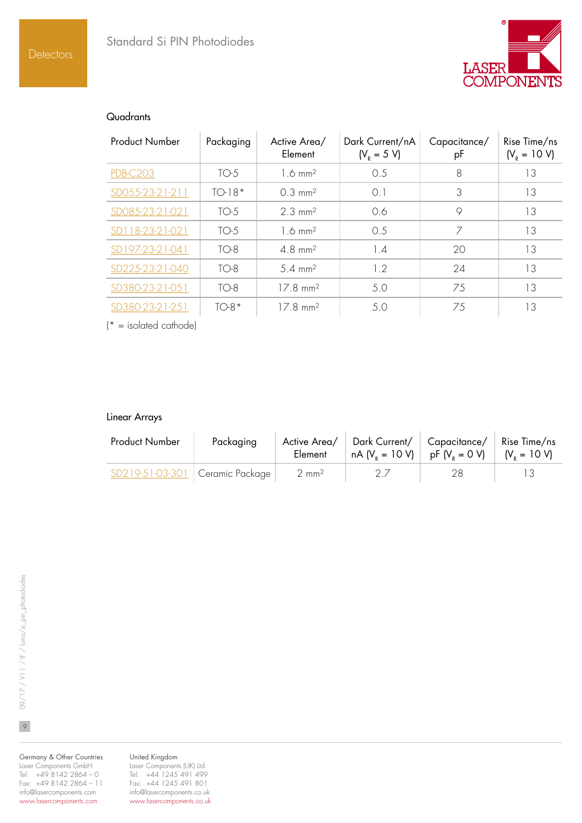

#### **Quadrants**

| <b>Product Number</b> | Packaging | Active Area/<br>Element | Dark Current/nA<br>$(VR = 5 V)$ | Capacitance/<br>рF | Rise Time/ns<br>$(V_p = 10 V)$ |
|-----------------------|-----------|-------------------------|---------------------------------|--------------------|--------------------------------|
| <b>PDB-C203</b>       | $TO-5$    | $1.6 \text{ mm}^2$      | 0.5                             | 8                  | 13                             |
| SD055-23-21-211       | $TO-18*$  | $0.3 \, \text{mm}^2$    | 0.1                             | 3                  | 13                             |
| SD085-23-21-021       | $TO-5$    | $2.3 \text{ mm}^2$      | 0.6                             | 9                  | 13                             |
| SD118-23-21-021       | $TO-5$    | $1.6 \text{ mm}^2$      | 0.5                             | 7                  | 13                             |
| SD197-23-21-041       | $TO-8$    | $4.8$ mm <sup>2</sup>   | 14                              | 20                 | 13                             |
| SD225-23-21-040       | $TO-8$    | $5.4 \, \text{mm}^2$    | 1.2                             | 24                 | 13                             |
| SD380-23-21-051       | $TO-8$    | $17.8 \text{ mm}^2$     | 5.0                             | 75                 | 13                             |
| SD380-23-21-251       | $TO-8*$   | $17.8 \text{ mm}^2$     | 5.0                             | 75                 | 13                             |

 $\mathsf{I}^*$  = isolated cathode)

#### Linear Arrays

Í,

| <b>Product Number</b>             | Packaging | Active Area/<br>Element | Dark Current/   Capacitance/<br>  nA (V <sub>p</sub> = 10 V)   pF (V <sub>p</sub> = 0 V) |    | Rise Time/ns<br>$ V_{\rm p} = 10 \text{ V}$ |
|-----------------------------------|-----------|-------------------------|------------------------------------------------------------------------------------------|----|---------------------------------------------|
| SD219-51-03-301   Ceramic Package |           | $2 \text{ mm}^2$        |                                                                                          | 28 |                                             |

Germany & Other Countries Laser Components GmbH Tel: +49 8142 2864 – 0 Fax: +49 8142 2864 – 11 info@lasercomponents.com www.lasercomponents.com

United Kingdom